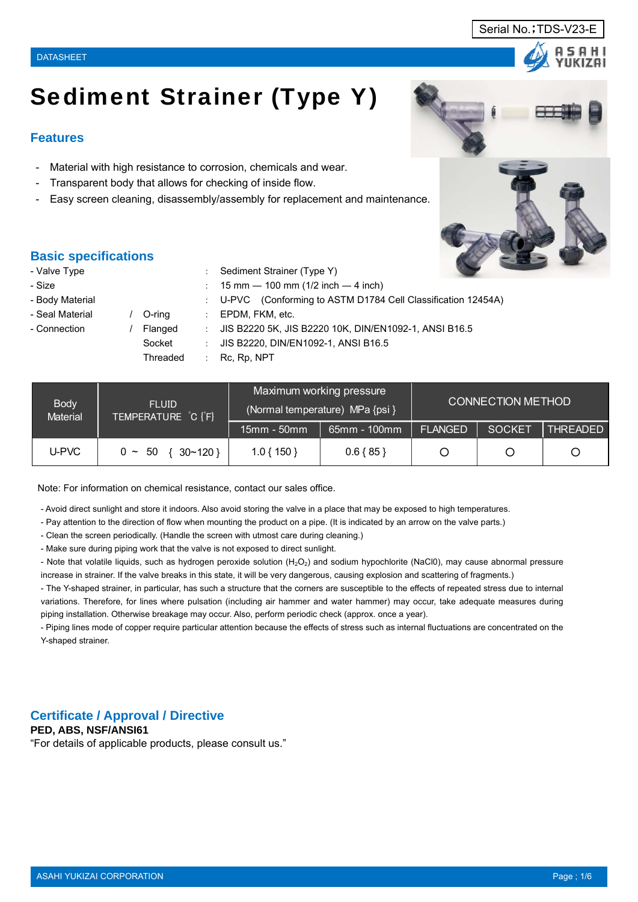# Sediment Strainer (Type Y)

#### **Features**

- Material with high resistance to corrosion, chemicals and wear.
- Transparent body that allows for checking of inside flow.
- Easy screen cleaning, disassembly/assembly for replacement and maintenance.

### **Basic specifications**

- Valve Type : Sediment Strainer (Type Y)
- Size : 15 mm ― 100 mm (1/2 inch ― 4 inch)
- Body Material **interval in the Conforming to ASTM D1784 Cell Classification 12454A**)
- 
- 
- Seal Material / O-ring : EPDM, FKM, etc. - Connection / Flanged : JIS B2220 5K, JIS B2220 10K, DIN/EN1092-1, ANSI B16.5 Socket : JIS B2220, DIN/EN1092-1, ANSI B16.5 Threaded : Rc, Rp, NPT
	-

| <b>Body</b><br>Material | <b>FLUID</b><br>TEMPERATURE C [F] |              | Maximum working pressure<br>(Normal temperature) MPa {psi } | <b>CONNECTION METHOD</b> |               |                 |  |  |  |
|-------------------------|-----------------------------------|--------------|-------------------------------------------------------------|--------------------------|---------------|-----------------|--|--|--|
|                         |                                   | 15mm - 50mm  | 65mm - 100mm                                                | <b>FLANGED</b>           | <b>SOCKET</b> | <b>THREADED</b> |  |  |  |
| U-PVC                   | $0 \sim 50$<br>$30 - 120$         | $1.0\{150\}$ | $0.6\{85\}$                                                 |                          |               |                 |  |  |  |

Note: For information on chemical resistance, contact our sales office.

- Avoid direct sunlight and store it indoors. Also avoid storing the valve in a place that may be exposed to high temperatures.

- Pay attention to the direction of flow when mounting the product on a pipe. (It is indicated by an arrow on the valve parts.)
- Clean the screen periodically. (Handle the screen with utmost care during cleaning.)
- Make sure during piping work that the valve is not exposed to direct sunlight.

- Note that volatile liquids, such as hydrogen peroxide solution (H<sub>2</sub>O<sub>2</sub>) and sodium hypochlorite (NaCl0), may cause abnormal pressure increase in strainer. If the valve breaks in this state, it will be very dangerous, causing explosion and scattering of fragments.)

- The Y-shaped strainer, in particular, has such a structure that the corners are susceptible to the effects of repeated stress due to internal variations. Therefore, for lines where pulsation (including air hammer and water hammer) may occur, take adequate measures during piping installation. Otherwise breakage may occur. Also, perform periodic check (approx. once a year).

- Piping lines mode of copper require particular attention because the effects of stress such as internal fluctuations are concentrated on the Y-shaped strainer.

## **Certificate / Approval / Directive**

**PED, ABS, NSF/ANSI61** "For details of applicable products, please consult us."



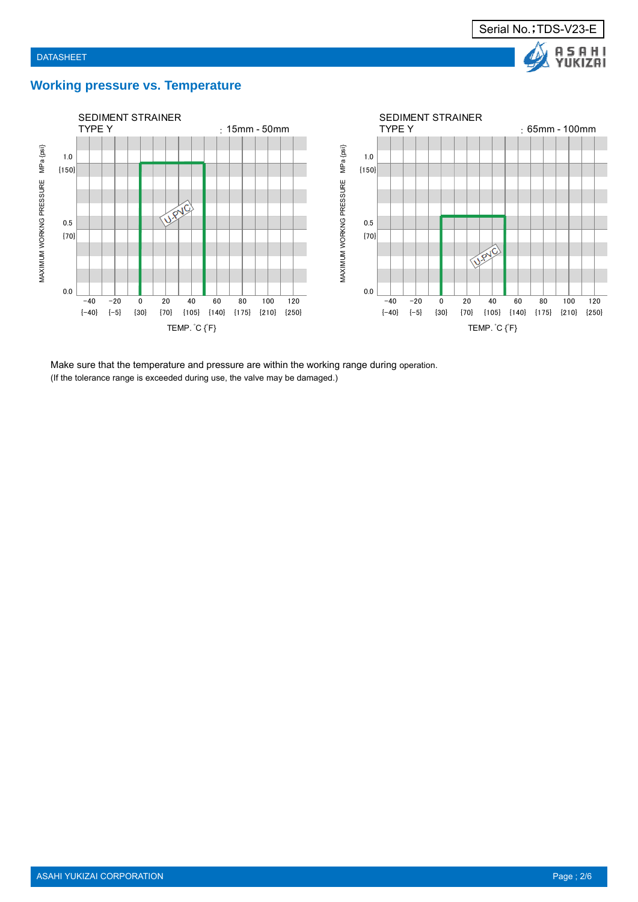

### **Working pressure vs. Temperature**



Make sure that the temperature and pressure are within the working range during operation. (If the tolerance range is exceeded during use, the valve may be damaged.)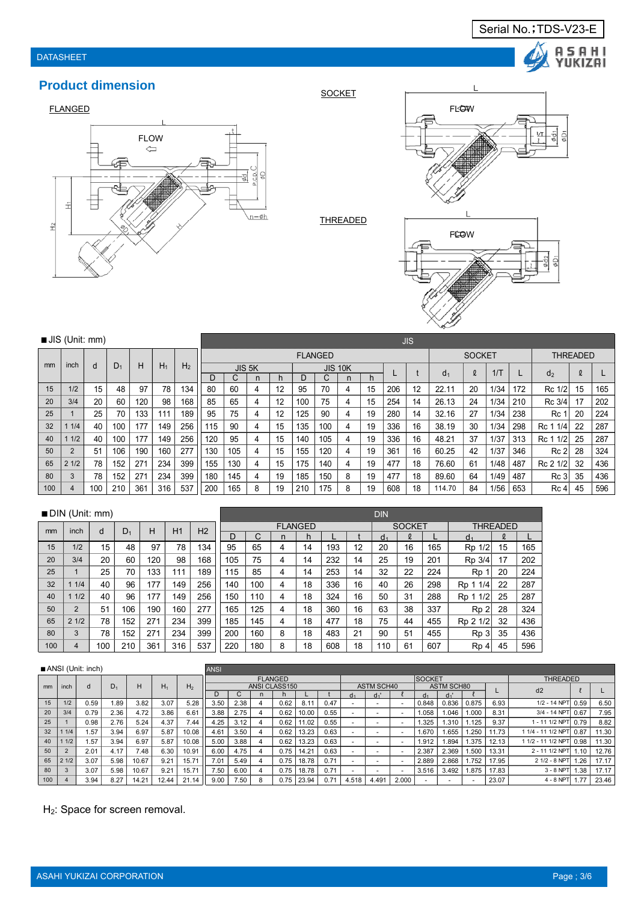

## **Product dimension**

#### FLANGED



**SOCKET** 

THREADED



| JIS (Unit: mm) |  |
|----------------|--|
|                |  |

|     | $\blacksquare$ JIS (Unit: mm) |     |       |     |       |                | JIS |        |   |    |     |                |   |    |     |    |                |               |      |     |                 |          |     |
|-----|-------------------------------|-----|-------|-----|-------|----------------|-----|--------|---|----|-----|----------------|---|----|-----|----|----------------|---------------|------|-----|-----------------|----------|-----|
|     |                               |     |       |     |       |                |     |        |   |    |     | <b>FLANGED</b> |   |    |     |    |                | <b>SOCKET</b> |      |     |                 | THREADED |     |
| mm  | inch                          | d   | $D_1$ | н   | $H_1$ | H <sub>2</sub> |     | JIS 5K |   |    |     | <b>JIS 10K</b> |   |    |     |    | d <sub>1</sub> | l             | 1/T  |     | d <sub>2</sub>  | Q        |     |
|     |                               |     |       |     |       |                | D   | С      |   | h. | D   | С              | n | h  |     |    |                |               |      |     |                 |          |     |
| 15  | 1/2                           | 15  | 48    | 97  | 78    | 134            | 80  | 60     | 4 | 12 | 95  | 70             | 4 | 15 | 206 | 12 | 22.11          | 20            | 1/34 | 172 | Rc 1/2          | 15       | 165 |
| 20  | 3/4                           | 20  | 60    | 120 | 98    | 168            | 85  | 65     | 4 | 12 | 100 | 75             | 4 | 15 | 254 | 14 | 26.13          | 24            | 1/34 | 210 | Rc 3/4          | 17       | 202 |
| 25  |                               | 25  | 70    | 133 | 111   | 189            | 95  | 75     | 4 | 12 | 125 | 90             | 4 | 19 | 280 | 14 | 32.16          | 27            | 1/34 | 238 | Rc 1            | 20       | 224 |
| 32  | 11/4                          | 40  | 100   | 177 | 149   | 256            | 115 | 90     | 4 | 15 | 135 | 100            | 4 | 19 | 336 | 16 | 38.19          | 30            | 1/34 | 298 | Rc 1<br>1/4     | 22       | 287 |
| 40  | 11/2                          | 40  | 100   | 177 | 149   | 256            | 120 | 95     | 4 | 15 | 140 | 105            | 4 | 19 | 336 | 16 | 48.21          | 37            | 1/37 | 313 | Rc 1 1/2        | 25       | 287 |
| 50  | $\overline{2}$                | 51  | 106   | 190 | 160   | 277            | 130 | 105    | 4 | 15 | 155 | 120            | 4 | 19 | 361 | 16 | 60.25          | 42            | 1/37 | 346 | Rc <sub>2</sub> | 28       | 324 |
| 65  | 21/2                          | 78  | 152   | 271 | 234   | 399            | 155 | 130    | 4 | 15 | 175 | 140            | 4 | 19 | 477 | 18 | 76.60          | 61            | 1/48 | 487 | Rc 2 1/2        | 32       | 436 |
| 80  | 3                             | 78  | 152   | 271 | 234   | 399            | 180 | 145    | 4 | 19 | 185 | 150            | 8 | 19 | 477 | 18 | 89.60          | 64            | 1/49 | 487 | Rc <sub>3</sub> | 35       | 436 |
| 100 | 4                             | 100 | 210   | 361 | 316   | 537            | 200 | 165    | 8 | 19 | 210 | 175            | 8 | 19 | 608 | 18 | 114.70         | 84            | 1/56 | 653 | $Rc$ 4          | 45       | 596 |

 $\overline{D}$  DIN

#### ■DIN (Unit: mm)

|     | -<br>. |     |       |     |     |                |     | .   |   |                |     |    |     |               |     |                  |          |     |
|-----|--------|-----|-------|-----|-----|----------------|-----|-----|---|----------------|-----|----|-----|---------------|-----|------------------|----------|-----|
| mm  | inch   | d   | $D_1$ | н   | H1  | H <sub>2</sub> |     |     |   | <b>FLANGED</b> |     |    |     | <b>SOCKET</b> |     |                  | THREADED |     |
|     |        |     |       |     |     |                | D   | С   | n | h              |     |    | d1  |               |     | d <sub>1</sub>   |          |     |
| 15  | 1/2    | 15  | 48    | 97  | 78  | 134            | 95  | 65  | 4 | 14             | 193 | 12 | 20  | 16            | 165 | Rp 1/2           | 15       | 165 |
| 20  | 3/4    | 20  | 60    | 120 | 98  | 168            | 105 | 75  | 4 | 14             | 232 | 14 | 25  | 19            | 201 | Rp 3/4           | 17       | 202 |
| 25  |        | 25  | 70    | 133 | 111 | 189            | 115 | 85  | 4 | 14             | 253 | 14 | 32  | 22            | 224 | Rp 1             | 20       | 224 |
| 32  | 1/4    | 40  | 96    | 177 | 149 | 256            | 140 | 100 | 4 | 18             | 336 | 16 | 40  | 26            | 298 | Rp 1 1/4         | 22       | 287 |
| 40  | 1/2    | 40  | 96    | 177 | 149 | 256            | 150 | 110 | 4 | 18             | 324 | 16 | 50  | 31            | 288 | Rp 1 1/2         | 25       | 287 |
| 50  | 2      | 51  | 106   | 190 | 160 | 277            | 165 | 125 | 4 | 18             | 360 | 16 | 63  | 38            | 337 | R <sub>p</sub> 2 | 28       | 324 |
| 65  | 21/2   | 78  | 152   | 271 | 234 | 399            | 185 | 145 | 4 | 18             | 477 | 18 | 75  | 44            | 455 | Rp 2 1/2         | 32       | 436 |
| 80  | 3      | 78  | 152   | 271 | 234 | 399            | 200 | 160 | 8 | 18             | 483 | 21 | 90  | 51            | 455 | R <sub>p</sub> 3 | 35       | 436 |
| 100 | 4      | 100 | 210   | 361 | 316 | 537            | 220 | 180 | 8 | 18             | 608 | 18 | 110 | 61            | 607 | Rp 4             | 45       | 596 |

|     |      | ANSI (Unit: inch) |       |       | <b>ANSI</b> |                |      |      |   |                |       |      |          |                          |                          |                          |                   |       |       |                    |      |       |
|-----|------|-------------------|-------|-------|-------------|----------------|------|------|---|----------------|-------|------|----------|--------------------------|--------------------------|--------------------------|-------------------|-------|-------|--------------------|------|-------|
|     |      |                   |       |       |             |                |      |      |   | <b>FLANGED</b> |       |      |          |                          |                          | <b>SOCKET</b>            |                   |       |       | <b>THREADED</b>    |      |       |
| mm  | inch | d                 | $D_1$ | н     | $H_1$       | H <sub>2</sub> |      |      |   | ANSI CLASS150  |       |      |          | <b>ASTM SCH40</b>        |                          |                          | <b>ASTM SCH80</b> |       |       | d2                 |      |       |
|     |      |                   |       |       |             |                | D    |      | n |                |       |      | <b>n</b> | $d_1$                    |                          | $d_{1}$                  | d <sub>1</sub>    |       |       |                    |      |       |
| 15  | 1/2  | 0.59              | 1.89  | 3.82  | 3.07        | 5.28           | 3.50 | 2.38 |   | 0.62           | 8.11  | 0.47 |          |                          |                          | 0.848                    | 0.836             | 0.875 | 6.93  | 1/2 - 14 NPT       | 0.59 | 6.50  |
| 20  | 3/4  | 0.79              | 2.36  | 4.72  | 3.86        | 6.61           | 3.88 | 2.75 |   | 0.62           | 10.00 | 0.55 |          |                          | $\overline{a}$           | .058                     | 1.046             | 1.000 | 8.31  | 3/4 - 14 NPT       | 0.67 | 7.95  |
| 25  |      | 0.98              | 2.76  | 5.24  | 4.37        | 7.44           | 4.25 | 3.12 |   | 0.62           | 11.02 | 0.55 |          |                          | $\overline{a}$           | .325                     | 1.310             | .125  | 9.37  | 1 - 11 1/2 NPT     | 0.79 | 8.82  |
| 32  | 1/4  | .57               | 3.94  | 6.97  | 5.87        | 10.08          | 4.61 | 3.50 |   | 0.62           | 13.23 | 0.63 |          |                          | $\overline{a}$           | 1.670                    | 1.655             | 1.250 | 11.73 | 1 1/4 - 11 1/2 NPT | 0.87 | 11.30 |
| 40  | 1/2  | .57               | 3.94  | 6.97  | 5.87        | 10.08          | 5.00 | 3.88 |   | 0.62           | 13.23 | 0.63 |          |                          | $\overline{\phantom{0}}$ | .912                     | .894              | 1.375 | 12.13 | 1 1/2 - 11 1/2 NPT | 0.98 | 11.30 |
| 50  |      | 2.01              | 4.17  | 7.48  | 6.30        | 10.91          | 6.00 | 4.75 |   | 0.75           | 14.21 | 0.63 |          |                          | $\,$                     | 2.387                    | 2.369             | 1.500 | 13.31 | 2 - 11 1/2 NPT     | 1.10 | 12.76 |
| 65  | 21/2 | 3.07              | 5.98  | 10.67 | 9.21        | 15.71          | 7.01 | 5.49 |   | 0.75           | 18.78 | 0.71 |          |                          | $\overline{a}$           | 2.889                    | 2.868             | 1.752 | 17.95 | 2 1/2 - 8 NPT      | 1.26 | 17.17 |
| 80  |      | 3.07              | 5.98  | 10.67 | 9.21        | 15.71          | 7.50 | 6.00 |   | 0.75           | 18.78 | 0.71 |          | $\overline{\phantom{0}}$ | $\overline{a}$           | 3.516                    | 3.492             | 1.875 | 17.83 | $3 - 8$ NPT        | 1.38 | 17.17 |
| 100 |      | 3.94              | 8.27  | 14.21 | 12.44       | 21.14          | 9.00 | 7.50 |   | 0.75           | 23.94 | 0.71 | 4.518    | 4.491                    | 2.000                    | $\overline{\phantom{0}}$ |                   | . .   | 23.07 | $4 - 8$ NPT        | 1.77 | 23.46 |

H<sub>2</sub>: Space for screen removal.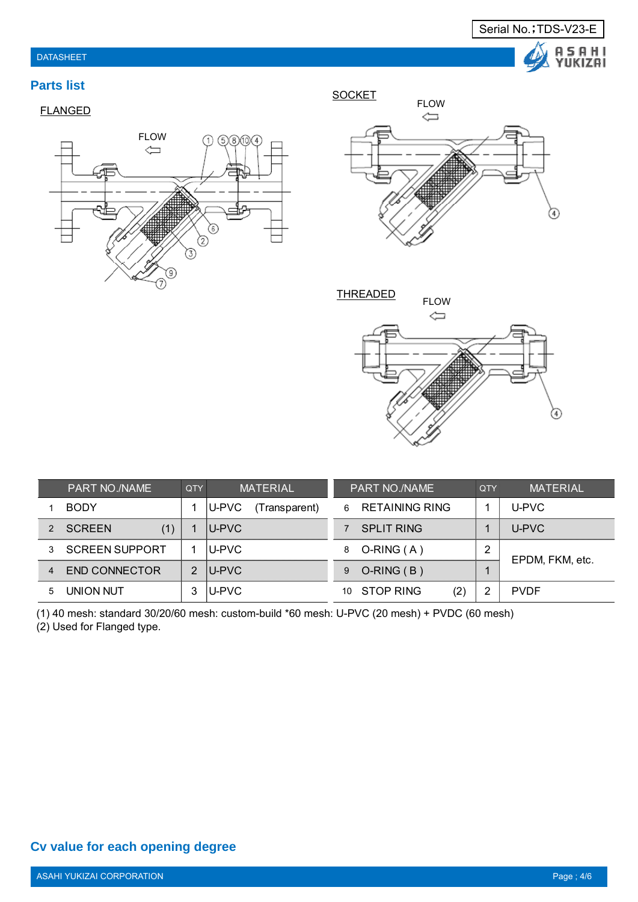#### DATASHEET



## **Parts list**

## FLANGED







| PART NO./NAME         | <b>QTY</b> | <b>MATERIAL</b>        | PART NO./NAME              | <b>QTY</b> | <b>MATERIAL</b> |
|-----------------------|------------|------------------------|----------------------------|------------|-----------------|
| <b>BODY</b>           |            | U-PVC<br>(Transparent) | <b>RETAINING RING</b><br>6 |            | U-PVC           |
| <b>SCREEN</b>         |            | U-PVC                  | <b>SPLIT RING</b>          |            | U-PVC           |
| <b>SCREEN SUPPORT</b> |            | U-PVC                  | $O-RING(A)$<br>8           | 2          | EPDM, FKM, etc. |
| <b>END CONNECTOR</b>  | 2          | U-PVC                  | $O-RING(B)$<br>9           | ◢          |                 |
| UNION NUT             | 3          | U-PVC                  | (2)<br>STOP RING           | っ          | <b>PVDF</b>     |

(1) 40 mesh: standard 30/20/60 mesh: custom-build \*60 mesh: U-PVC (20 mesh) + PVDC (60 mesh)

(2) Used for Flanged type.

## **Cv value for each opening degree**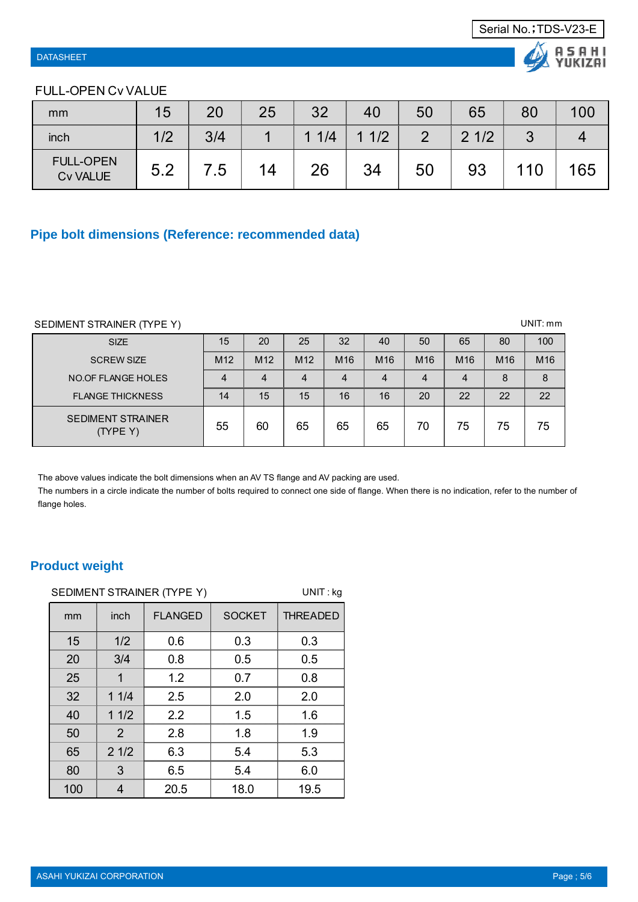

#### FULL-OPEN Cv VALUE

| mm                                  | 15  | 20  | 25 | つ<br>◡▵ | 40       | 50 | 65   | 80 | 100 |
|-------------------------------------|-----|-----|----|---------|----------|----|------|----|-----|
| inch                                | 1/2 | 3/4 |    | 1/4     | 1/2<br>и |    | 21/2 | ◠  |     |
| <b>FULL-OPEN</b><br><b>Cv VALUE</b> | 5.2 | .5  |    | 26      | 34       | 50 | 93   |    |     |

## **Pipe bolt dimensions (Reference: recommended data)**

#### SEDIMENT STRAINER (TYPE Y) SEDIMENT STRAINER (TYPE Y)

| <b>SIZE</b>                          | 15              | 20              | 25              | 32              | 40              | 50  | 65  | 80              | 100             |
|--------------------------------------|-----------------|-----------------|-----------------|-----------------|-----------------|-----|-----|-----------------|-----------------|
| <b>SCREW SIZE</b>                    | M <sub>12</sub> | M <sub>12</sub> | M <sub>12</sub> | M <sub>16</sub> | M <sub>16</sub> | M16 | M16 | M <sub>16</sub> | M <sub>16</sub> |
| <b>NO.OF FLANGE HOLES</b>            | 4               | 4               | 4               | 4               | 4               | 4   | 4   | 8               | 8               |
| <b>FLANGE THICKNESS</b>              | 14              | 15              | 15              | 16              | 16              | 20  | 22  | 22              | 22              |
| <b>SEDIMENT STRAINER</b><br>(TYPE Y) | 55              | 60              | 65              | 65              | 65              | 70  | 75  | 75              | 75              |

The above values indicate the bolt dimensions when an AV TS flange and AV packing are used.

The numbers in a circle indicate the number of bolts required to connect one side of flange. When there is no indication, refer to the number of flange holes.

## **Product weight**

|     | UNIT: kg<br>SEDIMENT STRAINER (TYPE Y) |                |               |                 |  |  |  |  |  |  |  |  |  |
|-----|----------------------------------------|----------------|---------------|-----------------|--|--|--|--|--|--|--|--|--|
| mm  | inch                                   | <b>FLANGED</b> | <b>SOCKET</b> | <b>THREADED</b> |  |  |  |  |  |  |  |  |  |
| 15  | 1/2                                    | 0.6            | 0.3           | 0.3             |  |  |  |  |  |  |  |  |  |
| 20  | 3/4                                    | 0.8            | 0.5           | 0.5             |  |  |  |  |  |  |  |  |  |
| 25  | 1                                      | 1.2            | 0.7           | 0.8             |  |  |  |  |  |  |  |  |  |
| 32  | 11/4                                   | 2.5            | 2.0           | 2.0             |  |  |  |  |  |  |  |  |  |
| 40  | 11/2                                   | 2.2            | 1.5           | 1.6             |  |  |  |  |  |  |  |  |  |
| 50  | 2                                      | 2.8            | 1.8           | 1.9             |  |  |  |  |  |  |  |  |  |
| 65  | 21/2                                   | 6.3            | 5.4           | 5.3             |  |  |  |  |  |  |  |  |  |
| 80  | 3                                      | 6.5            | 5.4           | 6.0             |  |  |  |  |  |  |  |  |  |
| 100 | 4                                      | 20.5           | 18.0          | 19.5            |  |  |  |  |  |  |  |  |  |